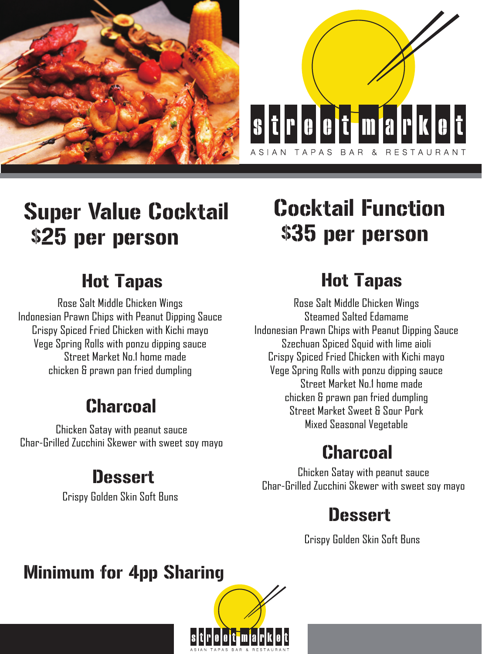



# Super Value Cocktail \$25 per person

#### Hot Tapas

Rose Salt Middle Chicken Wings Indonesian Prawn Chips with Peanut Dipping Sauce Crispy Spiced Fried Chicken with Kichi mayo Vege Spring Rolls with ponzu dipping sauce Street Market No.1 home made chicken & prawn pan fried dumpling

#### Charcoal

Chicken Satay with peanut sauce Char-Grilled Zucchini Skewer with sweet soy mayo

#### **Dessert**

Crispy Golden Skin Soft Buns

# Cocktail Function \$35 per person

#### Hot Tapas

Rose Salt Middle Chicken Wings Steamed Salted Edamame Indonesian Prawn Chips with Peanut Dipping Sauce Szechuan Spiced Squid with lime aioli Crispy Spiced Fried Chicken with Kichi mayo Vege Spring Rolls with ponzu dipping sauce Street Market No.1 home made chicken & prawn pan fried dumpling Street Market Sweet & Sour Pork Mixed Seasonal Vegetable

#### **Charcoal**

Chicken Satay with peanut sauce Char-Grilled Zucchini Skewer with sweet soy mayo

#### **Dessert**

Crispy Golden Skin Soft Buns

#### Minimum for 4pp Sharing